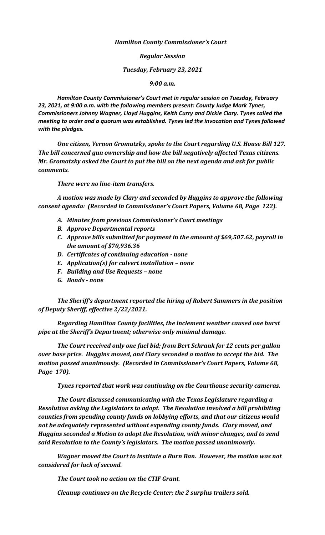## *Hamilton County Commissioner's Court*

*Regular Session*

*Tuesday, February 23, 2021*

*9:00 a.m.*

*Hamilton County Commissioner's Court met in regular session on Tuesday, February 23, 2021, at 9:00 a.m. with the following members present: County Judge Mark Tynes, Commissioners Johnny Wagner, Lloyd Huggins, Keith Curry and Dickie Clary. Tynes called the meeting to order and a quorum was established. Tynes led the invocation and Tynes followed with the pledges.*

*One citizen, Vernon Gromatzky, spoke to the Court regarding U.S. House Bill 127. The bill concerned gun ownership and how the bill negatively affected Texas citizens. Mr. Gromatzky asked the Court to put the bill on the next agenda and ask for public comments.*

*There were no line-item transfers.*

*A motion was made by Clary and seconded by Huggins to approve the following consent agenda: (Recorded in Commissioner's Court Papers, Volume 68, Page 122).*

- *A. Minutes from previous Commissioner's Court meetings*
- *B. Approve Departmental reports*
- *C. Approve bills submitted for payment in the amount of \$69,507.62, payroll in the amount of \$70,936.36*
- *D. Certificates of continuing education - none*
- *E. Application(s) for culvert installation – none*
- *F. Building and Use Requests – none*
- *G. Bonds - none*

*The Sheriff's department reported the hiring of Robert Summers in the position of Deputy Sheriff, effective 2/22/2021.* 

*Regarding Hamilton County facilities, the inclement weather caused one burst pipe at the Sheriff's Department; otherwise only minimal damage.*

*The Court received only one fuel bid; from Bert Schrank for 12 cents per gallon over base price. Huggins moved, and Clary seconded a motion to accept the bid. The motion passed unanimously. (Recorded in Commissioner's Court Papers, Volume 68, Page 170).*

*Tynes reported that work was continuing on the Courthouse security cameras.*

*The Court discussed communicating with the Texas Legislature regarding a Resolution asking the Legislators to adopt. The Resolution involved a bill prohibiting counties from spending county funds on lobbying efforts, and that our citizens would not be adequately represented without expending county funds. Clary moved, and Huggins seconded a Motion to adopt the Resolution, with minor changes, and to send said Resolution to the County's legislators. The motion passed unanimously.*

*Wagner moved the Court to institute a Burn Ban. However, the motion was not considered for lack of second.*

*The Court took no action on the CTIF Grant.*

*Cleanup continues on the Recycle Center; the 2 surplus trailers sold.*